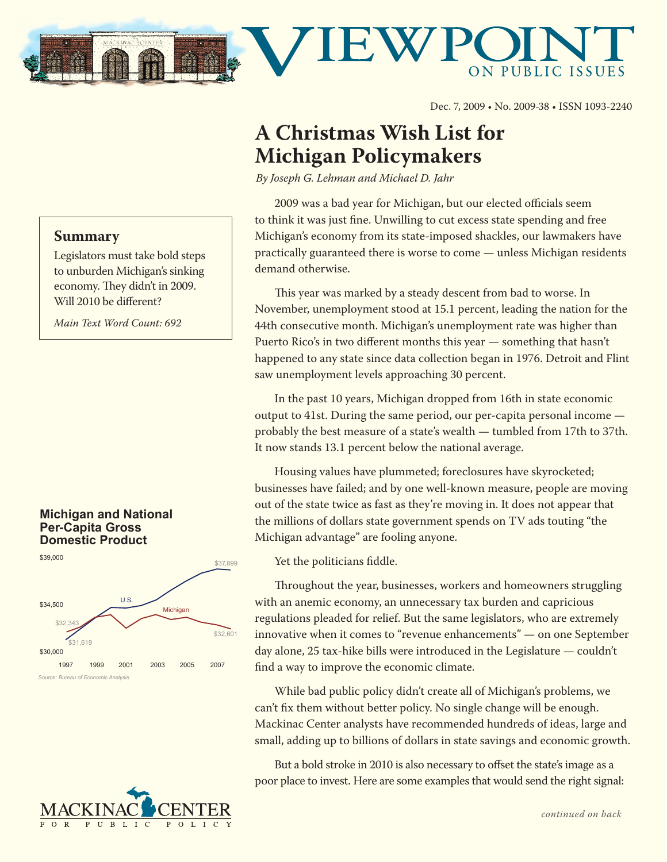

Dec. 7, 2009 • No. 2009-38 • ISSN 1093-2240

# **A Christmas Wish List for Michigan Policymakers**

*By Joseph G. Lehman and Michael D. Jahr*

2009 was a bad year for Michigan, but our elected officials seem to think it was just fine. Unwilling to cut excess state spending and free Michigan's economy from its state-imposed shackles, our lawmakers have practically guaranteed there is worse to come — unless Michigan residents demand otherwise.

This year was marked by a steady descent from bad to worse. In November, unemployment stood at 15.1 percent, leading the nation for the 44th consecutive month. Michigan's unemployment rate was higher than Puerto Rico's in two different months this year — something that hasn't happened to any state since data collection began in 1976. Detroit and Flint saw unemployment levels approaching 30 percent.

In the past 10 years, Michigan dropped from 16th in state economic output to 41st. During the same period, our per-capita personal income probably the best measure of a state's wealth — tumbled from 17th to 37th. It now stands 13.1 percent below the national average.

Housing values have plummeted; foreclosures have skyrocketed; businesses have failed; and by one well-known measure, people are moving out of the state twice as fast as they're moving in. It does not appear that the millions of dollars state government spends on TV ads touting "the Michigan advantage" are fooling anyone.

Yet the politicians fiddle.

Throughout the year, businesses, workers and homeowners struggling with an anemic economy, an unnecessary tax burden and capricious regulations pleaded for relief. But the same legislators, who are extremely innovative when it comes to "revenue enhancements" — on one September day alone, 25 tax-hike bills were introduced in the Legislature — couldn't find a way to improve the economic climate.

While bad public policy didn't create all of Michigan's problems, we can't fix them without better policy. No single change will be enough. Mackinac Center analysts have recommended hundreds of ideas, large and small, adding up to billions of dollars in state savings and economic growth.

But a bold stroke in 2010 is also necessary to offset the state's image as a poor place to invest. Here are some examples that would send the right signal:

## **Summary**

Legislators must take bold steps to unburden Michigan's sinking economy. They didn't in 2009. Will 2010 be different?

*Main Text Word Count: 692*

### **Michigan and National Per-Capita Gross Domestic Product**